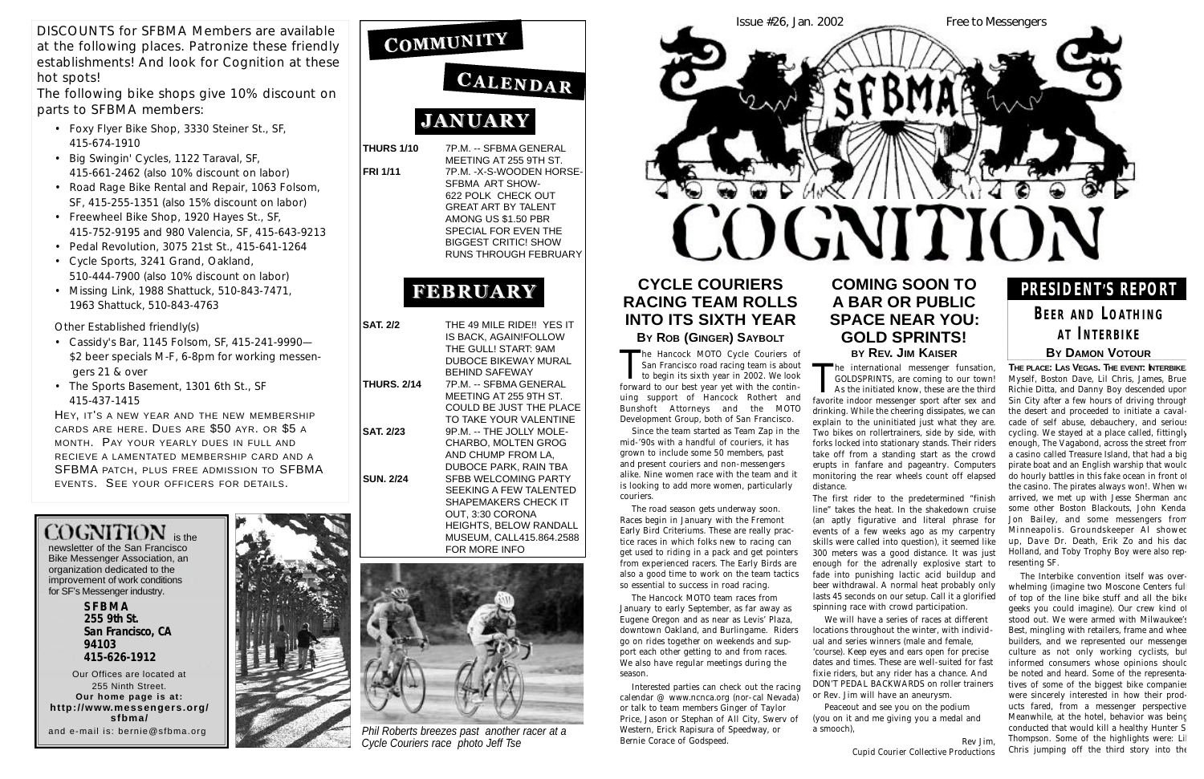**THURS 1/10** 7P.M. -- SFBMA GENERAL

MEETING AT 255 9TH ST. **FRI 1/11** 7P.M. -X-S-WOODEN HORSE-SFBMA ART SHOW-622 POLK CHECK OUT GREAT ART BY TALENT AMONG US \$1.50 PBR SPECIAL FOR EVEN THE BIGGEST CRITIC! SHOW RUNS THROUGH FEBRUARY

# **FEBRUARY**

| <b>SAT. 2/2</b>    | THE 49 MILE RIDE!! YES IT  |
|--------------------|----------------------------|
|                    | IS BACK. AGAIN!FOLLOW      |
|                    | THE GULL! START: 9AM       |
|                    | DUBOCE BIKEWAY MURAL       |
|                    | <b>BEHIND SAFEWAY</b>      |
| <b>THURS. 2/14</b> | 7P.M. -- SFBMA GENERAL     |
|                    | MEETING AT 255 9TH ST.     |
|                    | COULD BE JUST THE PLACE    |
|                    | TO TAKE YOUR VALENTINE     |
| <b>SAT. 2/23</b>   | 9P.M. -- THE JOLLY MOLE-   |
|                    | <b>CHARBO, MOLTEN GROG</b> |
|                    | AND CHUMP FROM LA,         |
|                    | DUBOCE PARK, RAIN TBA      |
| <b>SUN. 2/24</b>   | SFBB WELCOMING PARTY       |
|                    | SEEKING A FEW TALENTED     |
|                    | SHAPEMAKERS CHECK IT       |
|                    | OUT, 3:30 CORONA           |
|                    | HEIGHTS, BELOW RANDALL     |
|                    | MUSEUM, CALL415.864.2588   |
|                    | FOR MORE INFO              |



newsletter of the San Francisco Bike Messenger Association, an organization dedicated to the improvement of work conditions for SF's Messenger industry.

> **S F B M A 255 9th St. San Francisco, CA 94103 415-626-1912**

Our Offices are located at 255 Ninth Street. **Our home page is at:** http://www.messengers.org/ **s f b m a /** and e-mail is: bernie@sfbma.org



COMMUNITY

# CALENDAR

# **JANUARY**

DISCOUNTS for SFBMA Members are available at the following places. Patronize these friendly establishments! And look for *Cognition* at these hot spots!

The following bike shops give 10% discount on parts to SFBMA members:

> The international messenger funsation,<br>GOLDSPRINTS, are coming to our town!<br>As the initiated know, these are the third<br>favorite indoor messenger sport after sex and GOLDSPRINTS, are coming to our town! As the initiated know, these are the third favorite indoor messenger sport after sex and drinking. While the cheering dissipates, we can explain to the uninitiated just what they are. Two bikes on rollertrainers, side by side, with forks locked into stationary stands. Their riders take off from a standing start as the crowd erupts in fanfare and pageantry. Computers monitoring the rear wheels count off elapsed distance.

- Foxy Flyer Bike Shop, 3330 Steiner St., SF, 415-674-1910
- Big Swingin' Cycles, 1122 Taraval, SF, 415-661-2462 (also 10% discount on labor)
- Road Rage Bike Rental and Repair, 1063 Folsom, SF, 415-255-1351 (also 15% discount on labor)
- Freewheel Bike Shop, 1920 Hayes St., SF, 415-752-9195 and 980 Valencia, SF, 415-643-9213
- Pedal Revolution, 3075 21st St., 415-641-1264
- Cycle Sports, 3241 Grand, Oakland, 510-444-7900 (also 10% discount on labor)
- Missing Link, 1988 Shattuck, 510-843-7471, 1963 Shattuck, 510-843-4763

Other Established friendly(s)

- Cassidy's Bar, 1145 Folsom, SF, 415-241-9990— \$2 beer specials M-F, 6-8pm for working messengers 21 & over
- The Sports Basement, 1301 6th St., SF 415-437-1415

HEY, IT'S A NEW YEAR AND THE NEW MEMBERSHIP CARDS ARE HERE. DUES ARE \$50 AYR. OR \$5 A MONTH. PAY YOUR YEARLY DUES IN FULL AND RECIEVE A LAMENTATED MEMBERSHIP CARD AND A SFBMA PATCH, PLUS FREE ADMISSION TO SFBMA EVENTS. SEE YOUR OFFICERS FOR DETAILS.

# $COGNITION$  is the

# **CYCLE COURIERS RACING TEAM ROLLS INTO ITS SIXTH YEAR BY** ROB (GINGER) SAYBOLT

The Hancock MOTO Cycle Couriers of<br>San Francisco road racing team is about<br>to begin its sixth year in 2002. We look<br>forward to our best year yet with the continhe Hancock MOTO Cycle Couriers of San Francisco road racing team is about to begin its sixth year in 2002. We look uing support of Hancock Rothert and Bunshoft Attorneys and the MOTO Development Group, both of San Francisco.

The Hancock MOTO team races from January to early September, as far away as Eugene Oregon and as near as Levis' Plaza, downtown Oakland, and Burlingame. Riders go on rides together on weekends and support each other getting to and from races. We also have regular meetings during the season

## **COMING SOON TO A BAR OR PUBLIC SPACE NEAR YOU: GOLD SPRINTS! BY REV. JIM KAISER**

**THE PLACE: LAS VEGAS. THE EVENT: INTERBIKE.** Myself, Boston Dave, Lil Chris, James, Brue, Richie Ditta, and Danny Boy descended upon Sin City after a few hours of driving through the desert and proceeded to initiate a cavalcade of self abuse, debauchery, and serious cycling. We stayed at a place called, fittingly enough, The Vagabond, across the street from a casino called Treasure Island, that had a big pirate boat and an English warship that would do hourly battles in this fake ocean in front of the casino. The pirates always won!. When we arrived, we met up with Jesse Sherman and some other Boston Blackouts, John Kenda, Jon Bailey, and some messengers from Minneapolis. Groundskeeper Al showed up, Dave Dr. Death, Erik Zo and his dac Holland, and Toby Trophy Boy were also representing SF.

The first rider to the predetermined "finish line" takes the heat. In the shakedown cruise (an aptly figurative and literal phrase for events of a few weeks ago as my carpentry skills were called into question), it seemed like 300 meters was a good distance. It was just enough for the adrenally explosive start to fade into punishing lactic acid buildup and beer withdrawal. A normal heat probably only lasts 45 seconds on our setup. Call it a glorified spinning race with crowd participation.

## **BEER AND LOATHING A T IN T E R B I K E BY DAMON VOTOUR**

We will have a series of races at different locations throughout the winter, with individual and series winners (male and female, 'course). Keep eyes and ears open for precise dates and times. These are well-suited for fast fixie riders, but any rider has a chance. And DON'T PEDAL BACKWARDS on roller trainers or Rev. Jim will have an aneurysm.

Peaceout and see you on the podium (you on it and me giving you a medal and a smooch),

Rev Jim, *Cupid Courier Collective Productions*

Since the team started as Team Zap in the mid-'90s with a handful of couriers, it has grown to include some 50 members, past and present couriers and non-messengers alike. Nine women race with the team and it is looking to add more women, particularly couriers.

The road season gets underway soon. Races begin in January with the Fremont Early Bird Criteriums. These are really practice races in which folks new to racing can get used to riding in a pack and get pointers from experienced racers. The Early Birds are also a good time to work on the team tactics so essential to success in road racing.

Interested parties can check out the racing calendar @ www.ncnca.org (nor-cal Nevada) or talk to team members Ginger of Taylor Price, Jason or Stephan of All City, Swerv of Western, Erick Rapisura of Speedway, or Bernie Corace of Godspeed.

The Interbike convention itself was overwhelming (imagine two Moscone Centers ful of top of the line bike stuff and all the bike geeks you could imagine). Our crew kind of stood out. We were armed with Milwaukee's Best, mingling with retailers, frame and whee builders, and we represented our messenger culture as not only working cyclists, but informed consumers whose opinions should be noted and heard. Some of the representatives of some of the biggest bike companies were sincerely interested in how their products fared, from a messenger perspective. Meanwhile, at the hotel, behavior was being conducted that would kill a healthy Hunter S. Thompson. Some of the highlights were: Lil Chris jumping off the third story into the



*Phil Roberts breezes past another racer at a Cycle Couriers race photo Jeff Tse*

# **P R E S I D E N T'S REPORT**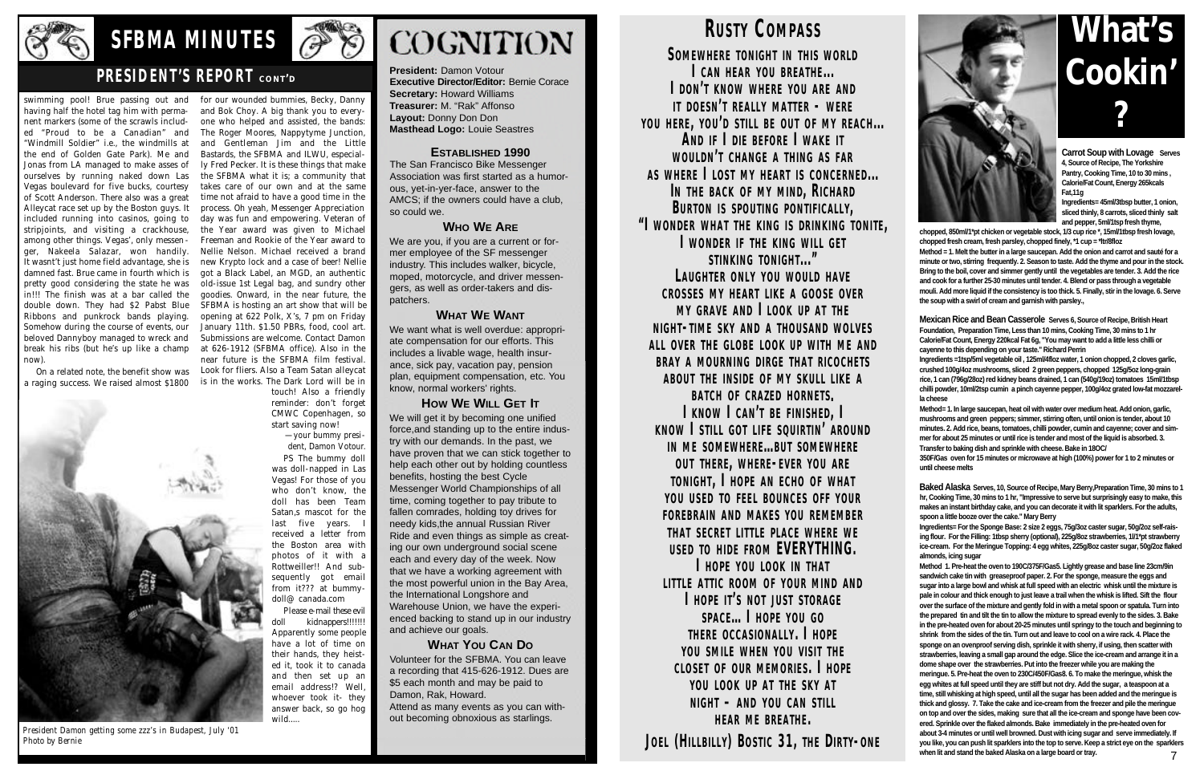swimming pool! Brue passing out and having half the hotel tag him with permanent markers (some of the scrawls included "Proud to be a Canadian" and "Windmill Soldier" i.e., the windmills at the end of Golden Gate Park). Me and Jonas from LA managed to make asses of ourselves by running naked down Las Vegas boulevard for five bucks, courtesy of Scott Anderson. There also was a great Alleycat race set up by the Boston guys. It included running into casinos, going to stripjoints, and visiting a crackhouse, among other things. Vegas', only messenger, Nakeela Salazar, won handily. It wasnt't just home field advantage, she is damned fast. Brue came in fourth which is pretty good considering the state he was in!!! The finish was at a bar called the double down. They had \$2 Pabst Blue Ribbons and punkrock bands playing. Somehow during the course of events, our beloved Dannyboy managed to wreck and break his ribs (but he's up like a champ now).

On a related note, the benefit show was a raging success. We raised almost \$1800





for our wounded bummies, Becky, Danny and Bok Choy. A big thank you to everyone who helped and assisted, the bands: The Roger Moores, Nappytyme Junction, and Gentleman Jim and the Little Bastards, the SFBMA and ILWU, especially Fred Pecker. It is these things that make the SFBMA what it is; a community that takes care of our own and at the same time not afraid to have a good time in the process. Oh yeah, Messenger Appreciation day was fun and empowering. Veteran of the Year award was given to Michael Freeman and Rookie of the Year award to Nellie Nelson. Michael received a brand new Krypto lock and a case of beer! Nellie got a Black Label, an MGD, an authentic old-issue 1st Legal bag, and sundry other goodies. Onward, in the near future, the SFBMA is hosting an art show that will be opening at 622 Polk, X's, 7 pm on Friday January 11th. \$1.50 PBRs, food, cool art. Submissions are welcome. Contact Damon at 626-1912 (SFBMA office). Also in the near future is the SFBMA film festival. Look for fliers. Also a Team Satan alleycat is in the works. The Dark Lord will be in

> touch! Also a friendly reminder: don't forget CMWC Copenhagen, so start saving now!

> — your bummy president, Damon Votour. PS The bummy doll was doll-napped in Las Vegas! For those of you who don't know, the doll has been Team Satan, s mascot for the last five years. I received a letter from the Boston area with photos of it with a Rottweiller!! And subsequently got email from it??? at bummydoll@ canada.com Please e-mail these evil kidnappers!!!!!!! Apparently some people have a lot of time on their hands, they heisted it, took it to canada and then set up an email address!? Well, whoever took it- they answer back, so go hog

wild.....

*President Damon getting some zzz's in Budapest, July '01 Photo by Bernie*





# **SFBMA MINUTES**

# **PRESIDENT'S REPORT CONT'D**

**President:** Damon Votour **Executive Director/Editor: Bernie Corace Secretary:** Howard Williams **Treasurer:** M. "Rak" Affonso **Layout:** Donny Don Don **Masthead Logo:** Louie Seastres

#### **ESTABLISHED 1990**

The San Francisco Bike Messenger Association was first started as a humorous, yet-in-yer-face, answer to the AMCS; if the owners could have a club, so could we.

#### **WHO WE ARE**

We are you, if you are a current or former employee of the SF messenger industry. This includes walker, bicycle, moped, motorcycle, and driver messengers, as well as order-takers and dispatchers.

**Carrot Soup with Lovage** Serves **4, Source of Recipe, The Yorkshire Pantry, Cooking Time, 10 to 30 mins , Calorie/Fat Count, Energy 265kcals Fat,11g** 

#### **WHAT WE WANT**

We want what is well overdue: appropriate compensation for our efforts. This includes a livable wage, health insurance, sick pay, vacation pay, pension plan, equipment compensation, etc. You know, normal workers' rights.

**HOW WE WILL GET IT** We will get it by becoming one unified force,and standing up to the entire industry with our demands. In the past, we have proven that we can stick together to help each other out by holding countless benefits, hosting the best Cycle Messenger World Championships of all time, coming together to pay tribute to fallen comrades, holding toy drives for needy kids,the annual Russian River Ride and even things as simple as creating our own underground social scene each and every day of the week. Now that we have a working agreement with the most powerful union in the Bay Area, the International Longshore and Warehouse Union, we have the experienced backing to stand up in our industry and achieve our goals.

## **WHAT YOU CAN DO**

Volunteer for the SFBMA. You can leave a recording that 415-626-1912. Dues are \$5 each month and may be paid to Damon, Rak, Howard.

Attend as many events as you can without becoming obnoxious as starlings.

# **RUSTY COMPASS**

**SOMEWHERE TONIGHT IN THIS WORLD**  $ICAN H FAR$  *YOU BREATHE...* **I DON'T KNOW WHERE YOU ARE AND IT DOESN'T REALLY MATTER - WERE** YOU HERE, YOU'D STILL BE OUT OF MY REACH... **AND IF I DIE BEFORE I WAKE IT W O U L D N'T C H A N G E A T H I N G A S F A R** AS WHERE I LOST MY HEART IS CONCERNED... IN THE BACK OF MY MIND, RICHARD **BURTON IS SPOUTING PONTIFICALLY, "I W O N D E R W H A T T H E K I N G I S D R I N K I N G T O N I T E, I** WONDER IF THE KING WILL GET **STINKING TONIGHT..." LA U G H T E R O N L Y Y O U W O U L D H A V E C R O S S E S M Y H E A R T L I K E A G O O S E O V E R M Y G R A V E A N D I L O O K U P A T T H E N I G H T-T I M E S K Y A N D A T H O U S A N D W O L V E S A L L O V E R T H E G L O B E L O O K U P W I T H M E A N D BRAY A MOURNING DIRGE THAT RICOCHETS A B O U T T H E I N S I D E O F M Y S K U L L L I K E A BATCH OF CRAZED HORNETS. I KNOW I CAN'T BE FINISHED, I KNOW I STILL GOT LIFF SOUIRTIN' AROUND IN ME SOMEWHERE...BUT SOMEWHERE OUT THERE, WHERE-EVER YOU ARE TONIGHT, I HOPE AN ECHO OF WHAT Y O U U S E D T O F E E L B O U N C E S O F F Y O U R FOREBRAIN AND MAKES YOU REMEMBER T H A T S E C R E T L I T T L E P L A C E W H E R E W E USED TO HIDE FROM EVERYTHING. I** HOPE YOU LOOK IN THAT **LITTLE ATTIC ROOM OF YOUR MIND AND L** HOPE IT'S NOT JUST STORAGE **S P A C E… I H O P E Y O U G O** THERE OCCASIONALLY. I HOPE YOU SMILE WHEN YOU VISIT THE **C L O S E T O F O U R M E M O R I E S. I H O P E Y O U L O O K U P A T T H E S K Y A T**  $N$  IGHT - AND YOU CAN STILL **HEAR ME BREATHE.** 

**JOEL (HILLBILLY) BOSTIC 31, THE DIRTY-ONE** 

**Ingredients= 45ml/3tbsp butter, 1 onion, sliced thinly, 8 carrots, sliced thinly salt and pepper, 5ml/1tsp fresh thyme,**

**chopped, 850ml/1\*pt chicken or vegetable stock, 1/3 cup rice \*, 15ml/1tbsp fresh lovage, chopped fresh cream, fresh parsley, chopped finely, \*1 cup = \*ltr/8floz Method = 1. Melt the butter in a large saucepan. Add the onion and carrot and sauté for a minute or two, stirring frequently. 2. Season to taste. Add the thyme and pour in the stock. Bring to the boil, cover and simmer gently until the vegetables are tender. 3. Add the rice and cook for a further 25-30 minutes until tender. 4. Blend or pass through a vegetable mouli. Add more liquid if the consistency is too thick. 5. Finally, stir in the lovage. 6. Serve the soup with a swirl of cream and garnish with parsley.,** 

**Mexican Rice and Bean Casserole Serves 6, Source of Recipe, British Heart Foundation, Preparation Time, Less than 10 mins, Cooking Time, 30 mins to 1 hr Calorie/Fat Count, Energy 220kcal Fat 6g, "You may want to add a little less chilli or cayenne to this depending on your taste." Richard Perrin**

**Ingredients =1tsp/5ml vegetable oil , 125ml/4floz water, 1 onion chopped, 2 cloves garlic, crushed 100g/4oz mushrooms, sliced 2 green peppers, chopped 125g/5oz long-grain rice, 1 can (796g/28oz) red kidney beans drained, 1 can (540g/19oz) tomatoes 15ml/1tbsp chilli powder, 10ml/2tsp cumin a pinch cayenne pepper, 100g/4oz grated low-fat mozzarella cheese**

**Method= 1. In large saucepan, heat oil with water over medium heat. Add onion, garlic, mushrooms and green peppers; simmer, stirring often, until onion is tender, about 10 minutes. 2. Add rice, beans, tomatoes, chilli powder, cumin and cayenne; cover and simmer for about 25 minutes or until rice is tender and most of the liquid is absorbed. 3. Transfer to baking dish and sprinkle with cheese. Bake in 18OC/**

**350F/Gas oven for 15 minutes or microwave at high (100%) power for 1 to 2 minutes or until cheese melts**

**Baked Alaska Serves, 10, Source of Recipe, Mary Berry,Preparation Time, 30 mins to 1 hr, Cooking Time, 30 mins to 1 hr, "Impressive to serve but surprisingly easy to make, this makes an instant birthday cake, and you can decorate it with lit sparklers. For the adults, spoon a little booze over the cake." Mary Berry**

**Ingredients= For the Sponge Base: 2 size 2 eggs, 75g/3oz caster sugar, 50g/2oz self-raising flour. For the Filling: 1tbsp sherry (optional), 225g/8oz strawberries, 1l/1\*pt strawberry ice-cream. For the Meringue Topping: 4 egg whites, 225g/8oz caster sugar, 50g/2oz flaked almonds, icing sugar**

**Method 1. Pre-heat the oven to 190C/375F/Gas5. Lightly grease and base line 23cm/9in sandwich cake tin with greaseproof paper. 2. For the sponge, measure the eggs and sugar into a large bowl and whisk at full speed with an electric whisk until the mixture is pale in colour and thick enough to just leave a trail when the whisk is lifted. Sift the flour over the surface of the mixture and gently fold in with a metal spoon or spatula. Turn into the prepared tin and tilt the tin to allow the mixture to spread evenly to the sides. 3. Bake in the pre-heated oven for about 20-25 minutes until springy to the touch and beginning to shrink from the sides of the tin. Turn out and leave to cool on a wire rack. 4. Place the sponge on an ovenproof serving dish, sprinkle it with sherry, if using, then scatter with strawberries, leaving a small gap around the edge. Slice the ice-cream and arrange it in a dome shape over the strawberries. Put into the freezer while you are making the meringue. 5. Pre-heat the oven to 230C/450F/Gas8. 6. To make the meringue, whisk the egg whites at full speed until they are stiff but not dry. Add the sugar, a teaspoon at a time, still whisking at high speed, until all the sugar has been added and the meringue is thick and glossy. 7. Take the cake and ice-cream from the freezer and pile the meringue on top and over the sides, making sure that all the ice-cream and sponge have been covered. Sprinkle over the flaked almonds. Bake immediately in the pre-heated oven for about 3-4 minutes or until well browned. Dust with icing sugar and serve immediately. If you like, you can push lit sparklers into the top to serve. Keep a strict eye on the sparklers when lit and stand the baked Alaska on a large board or tray.**  7

# **What's Cookin' ?**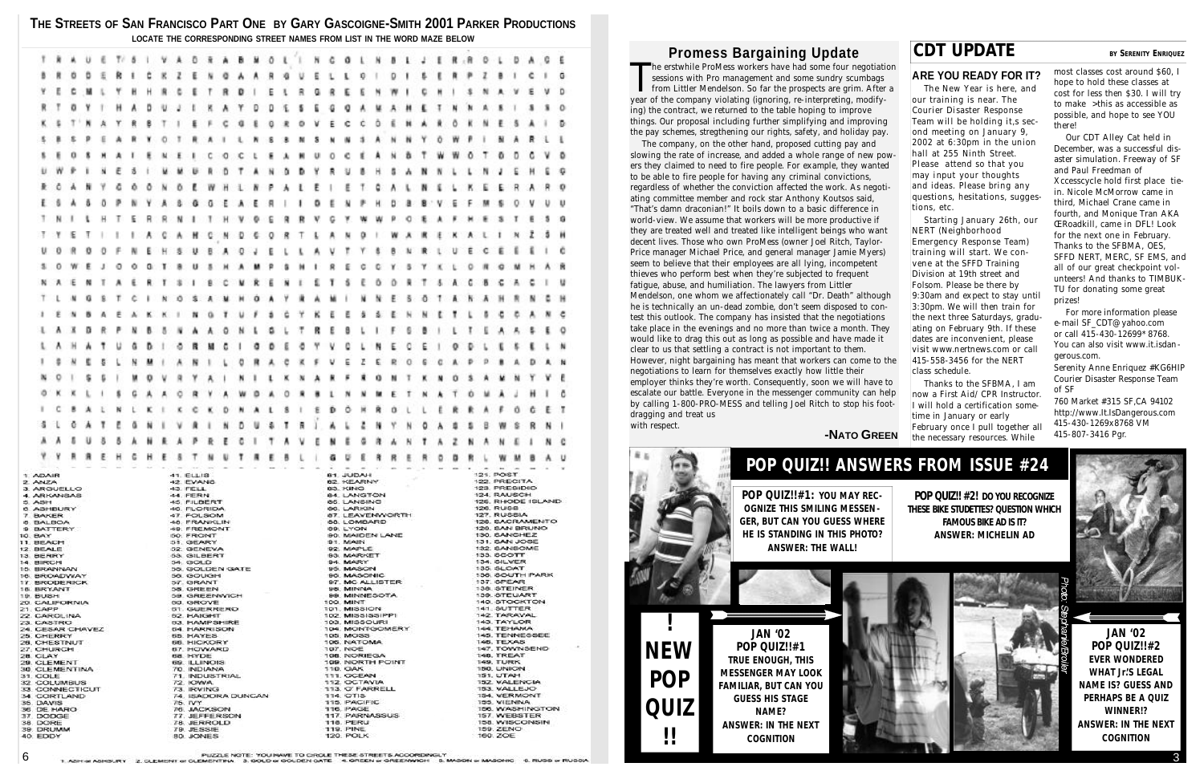#### **THE STREETS OF SAN FRANCISCO PART ONE BY GARY GASCOIGNE-SMITH 2001 PARKER PRODUCTIONS LOCATE THE CORRESPONDING STREET NAMES FROM LIST IN THE WORD MAZE BELOW**

| ō<br>G<br>a<br>n<br>۵<br>Ξ<br>o<br>Ε<br>祖<br>ŋ<br>я<br>а<br>Ю<br>o<br>Π<br>Ŀ<br>Ð<br>M<br>Q<br>R<br>o<br>в<br>o<br>з<br>о<br>0<br>5<br>ю<br>o<br>8<br>п<br>x<br>o<br>O<br>蒲<br>ю<br>o<br>0<br>曟<br>o<br>л<br>G<br>ε<br>н<br>٥<br>G<br>٠<br><b>Section</b><br>121. POST<br>41. ELLIS<br>HAQUL TB<br>1 ADAIR<br>42. EVANS<br><b>62 KEARNY</b><br>2. ANZA<br>1.40<br>ARREST MARCHINE REMOVED AND RESIDENT RESERVATION CONTINUES IN A SUBSECTATION CONTINUES IN A SUBSECTATION OF THE RESIDENT RESERVATION OF THE RESERVATION OF THE RESERVATION OF THE RESERVATION OF THE RESERVATION OF THE |  |  |  |  |  |  |  |  |  |  |  |  |  |  |  |  |  |  |  |  |  |  |              |  |  |  |  |  |  |  |   |   |
|-------------------------------------------------------------------------------------------------------------------------------------------------------------------------------------------------------------------------------------------------------------------------------------------------------------------------------------------------------------------------------------------------------------------------------------------------------------------------------------------------------------------------------------------------------------------------------------------|--|--|--|--|--|--|--|--|--|--|--|--|--|--|--|--|--|--|--|--|--|--|--------------|--|--|--|--|--|--|--|---|---|
|                                                                                                                                                                                                                                                                                                                                                                                                                                                                                                                                                                                           |  |  |  |  |  |  |  |  |  |  |  |  |  |  |  |  |  |  |  |  |  |  |              |  |  |  |  |  |  |  |   |   |
|                                                                                                                                                                                                                                                                                                                                                                                                                                                                                                                                                                                           |  |  |  |  |  |  |  |  |  |  |  |  |  |  |  |  |  |  |  |  |  |  |              |  |  |  |  |  |  |  |   | G |
|                                                                                                                                                                                                                                                                                                                                                                                                                                                                                                                                                                                           |  |  |  |  |  |  |  |  |  |  |  |  |  |  |  |  |  |  |  |  |  |  |              |  |  |  |  |  |  |  |   |   |
|                                                                                                                                                                                                                                                                                                                                                                                                                                                                                                                                                                                           |  |  |  |  |  |  |  |  |  |  |  |  |  |  |  |  |  |  |  |  |  |  |              |  |  |  |  |  |  |  |   | D |
|                                                                                                                                                                                                                                                                                                                                                                                                                                                                                                                                                                                           |  |  |  |  |  |  |  |  |  |  |  |  |  |  |  |  |  |  |  |  |  |  |              |  |  |  |  |  |  |  |   | o |
|                                                                                                                                                                                                                                                                                                                                                                                                                                                                                                                                                                                           |  |  |  |  |  |  |  |  |  |  |  |  |  |  |  |  |  |  |  |  |  |  |              |  |  |  |  |  |  |  |   |   |
|                                                                                                                                                                                                                                                                                                                                                                                                                                                                                                                                                                                           |  |  |  |  |  |  |  |  |  |  |  |  |  |  |  |  |  |  |  |  |  |  |              |  |  |  |  |  |  |  |   | Ð |
|                                                                                                                                                                                                                                                                                                                                                                                                                                                                                                                                                                                           |  |  |  |  |  |  |  |  |  |  |  |  |  |  |  |  |  |  |  |  |  |  |              |  |  |  |  |  |  |  |   |   |
|                                                                                                                                                                                                                                                                                                                                                                                                                                                                                                                                                                                           |  |  |  |  |  |  |  |  |  |  |  |  |  |  |  |  |  |  |  |  |  |  |              |  |  |  |  |  |  |  |   |   |
|                                                                                                                                                                                                                                                                                                                                                                                                                                                                                                                                                                                           |  |  |  |  |  |  |  |  |  |  |  |  |  |  |  |  |  |  |  |  |  |  |              |  |  |  |  |  |  |  |   |   |
|                                                                                                                                                                                                                                                                                                                                                                                                                                                                                                                                                                                           |  |  |  |  |  |  |  |  |  |  |  |  |  |  |  |  |  |  |  |  |  |  |              |  |  |  |  |  |  |  |   |   |
|                                                                                                                                                                                                                                                                                                                                                                                                                                                                                                                                                                                           |  |  |  |  |  |  |  |  |  |  |  |  |  |  |  |  |  |  |  |  |  |  |              |  |  |  |  |  |  |  |   |   |
|                                                                                                                                                                                                                                                                                                                                                                                                                                                                                                                                                                                           |  |  |  |  |  |  |  |  |  |  |  |  |  |  |  |  |  |  |  |  |  |  |              |  |  |  |  |  |  |  |   |   |
|                                                                                                                                                                                                                                                                                                                                                                                                                                                                                                                                                                                           |  |  |  |  |  |  |  |  |  |  |  |  |  |  |  |  |  |  |  |  |  |  |              |  |  |  |  |  |  |  |   | υ |
|                                                                                                                                                                                                                                                                                                                                                                                                                                                                                                                                                                                           |  |  |  |  |  |  |  |  |  |  |  |  |  |  |  |  |  |  |  |  |  |  |              |  |  |  |  |  |  |  |   | G |
|                                                                                                                                                                                                                                                                                                                                                                                                                                                                                                                                                                                           |  |  |  |  |  |  |  |  |  |  |  |  |  |  |  |  |  |  |  |  |  |  |              |  |  |  |  |  |  |  |   |   |
|                                                                                                                                                                                                                                                                                                                                                                                                                                                                                                                                                                                           |  |  |  |  |  |  |  |  |  |  |  |  |  |  |  |  |  |  |  |  |  |  |              |  |  |  |  |  |  |  |   |   |
|                                                                                                                                                                                                                                                                                                                                                                                                                                                                                                                                                                                           |  |  |  |  |  |  |  |  |  |  |  |  |  |  |  |  |  |  |  |  |  |  |              |  |  |  |  |  |  |  |   |   |
|                                                                                                                                                                                                                                                                                                                                                                                                                                                                                                                                                                                           |  |  |  |  |  |  |  |  |  |  |  |  |  |  |  |  |  |  |  |  |  |  |              |  |  |  |  |  |  |  |   |   |
|                                                                                                                                                                                                                                                                                                                                                                                                                                                                                                                                                                                           |  |  |  |  |  |  |  |  |  |  |  |  |  |  |  |  |  |  |  |  |  |  |              |  |  |  |  |  |  |  |   |   |
|                                                                                                                                                                                                                                                                                                                                                                                                                                                                                                                                                                                           |  |  |  |  |  |  |  |  |  |  |  |  |  |  |  |  |  |  |  |  |  |  |              |  |  |  |  |  |  |  |   |   |
|                                                                                                                                                                                                                                                                                                                                                                                                                                                                                                                                                                                           |  |  |  |  |  |  |  |  |  |  |  |  |  |  |  |  |  |  |  |  |  |  |              |  |  |  |  |  |  |  |   |   |
|                                                                                                                                                                                                                                                                                                                                                                                                                                                                                                                                                                                           |  |  |  |  |  |  |  |  |  |  |  |  |  |  |  |  |  |  |  |  |  |  |              |  |  |  |  |  |  |  |   |   |
|                                                                                                                                                                                                                                                                                                                                                                                                                                                                                                                                                                                           |  |  |  |  |  |  |  |  |  |  |  |  |  |  |  |  |  |  |  |  |  |  |              |  |  |  |  |  |  |  |   |   |
|                                                                                                                                                                                                                                                                                                                                                                                                                                                                                                                                                                                           |  |  |  |  |  |  |  |  |  |  |  |  |  |  |  |  |  |  |  |  |  |  |              |  |  |  |  |  |  |  |   |   |
|                                                                                                                                                                                                                                                                                                                                                                                                                                                                                                                                                                                           |  |  |  |  |  |  |  |  |  |  |  |  |  |  |  |  |  |  |  |  |  |  |              |  |  |  |  |  |  |  |   |   |
|                                                                                                                                                                                                                                                                                                                                                                                                                                                                                                                                                                                           |  |  |  |  |  |  |  |  |  |  |  |  |  |  |  |  |  |  |  |  |  |  |              |  |  |  |  |  |  |  |   |   |
|                                                                                                                                                                                                                                                                                                                                                                                                                                                                                                                                                                                           |  |  |  |  |  |  |  |  |  |  |  |  |  |  |  |  |  |  |  |  |  |  |              |  |  |  |  |  |  |  |   |   |
|                                                                                                                                                                                                                                                                                                                                                                                                                                                                                                                                                                                           |  |  |  |  |  |  |  |  |  |  |  |  |  |  |  |  |  |  |  |  |  |  |              |  |  |  |  |  |  |  |   |   |
|                                                                                                                                                                                                                                                                                                                                                                                                                                                                                                                                                                                           |  |  |  |  |  |  |  |  |  |  |  |  |  |  |  |  |  |  |  |  |  |  |              |  |  |  |  |  |  |  |   | c |
|                                                                                                                                                                                                                                                                                                                                                                                                                                                                                                                                                                                           |  |  |  |  |  |  |  |  |  |  |  |  |  |  |  |  |  |  |  |  |  |  |              |  |  |  |  |  |  |  |   |   |
|                                                                                                                                                                                                                                                                                                                                                                                                                                                                                                                                                                                           |  |  |  |  |  |  |  |  |  |  |  |  |  |  |  |  |  |  |  |  |  |  |              |  |  |  |  |  |  |  |   |   |
|                                                                                                                                                                                                                                                                                                                                                                                                                                                                                                                                                                                           |  |  |  |  |  |  |  |  |  |  |  |  |  |  |  |  |  |  |  |  |  |  |              |  |  |  |  |  |  |  |   |   |
|                                                                                                                                                                                                                                                                                                                                                                                                                                                                                                                                                                                           |  |  |  |  |  |  |  |  |  |  |  |  |  |  |  |  |  |  |  |  |  |  |              |  |  |  |  |  |  |  |   |   |
|                                                                                                                                                                                                                                                                                                                                                                                                                                                                                                                                                                                           |  |  |  |  |  |  |  |  |  |  |  |  |  |  |  |  |  |  |  |  |  |  |              |  |  |  |  |  |  |  | ٨ |   |
|                                                                                                                                                                                                                                                                                                                                                                                                                                                                                                                                                                                           |  |  |  |  |  |  |  |  |  |  |  |  |  |  |  |  |  |  |  |  |  |  |              |  |  |  |  |  |  |  |   |   |
|                                                                                                                                                                                                                                                                                                                                                                                                                                                                                                                                                                                           |  |  |  |  |  |  |  |  |  |  |  |  |  |  |  |  |  |  |  |  |  |  | 122. PRECITA |  |  |  |  |  |  |  |   |   |
|                                                                                                                                                                                                                                                                                                                                                                                                                                                                                                                                                                                           |  |  |  |  |  |  |  |  |  |  |  |  |  |  |  |  |  |  |  |  |  |  |              |  |  |  |  |  |  |  |   |   |
|                                                                                                                                                                                                                                                                                                                                                                                                                                                                                                                                                                                           |  |  |  |  |  |  |  |  |  |  |  |  |  |  |  |  |  |  |  |  |  |  |              |  |  |  |  |  |  |  |   |   |

# **Promess Bargaining Update CDT UPDATE BY** SERENITY ENRIQUEZ

#### **ARE YOU READY FOR IT?**

The New Year is here, and our training is near. The Courier Disaster Response Team will be holding it,s second meeting on January 9, 2002 at 6:30pm in the union hall at 255 Ninth Street. Please attend so that you may input your thoughts and ideas. Please bring any questions, hesitations, suggestions, etc.

Our CDT Alley Cat held in December, was a successful disaster simulation. Freeway of SF and Paul Freedman of Xccesscycle hold first place tiein. Nicole McMorrow came in third, Michael Crane came in fourth, and Monique Tran AKA ŒRoadkill, came in DFL! Look for the next one in February. Thanks to the SFBMA, OES, SFFD NERT, MERC, SF EMS, and all of our great checkpoint volunteers! And thanks to TIMBUK-TU for donating some great prizes!

Starting January 26th, our NERT (Neighborhood Emergency Response Team) training will start. We convene at the SFFD Training Division at 19th street and Folsom. Please be there by 9:30am and expect to stay until 3:30pm. We will then train for the next three Saturdays, graduating on February 9th. If these dates are inconvenient, please visit www.nertnews.com or call 415-558-3456 for the NERT class schedule.

For more information please e-mail SF\_CDT@yahoo.com or call 415-430-12699\* 8768. You can also visit www.it.isdangerous.com.

Thanks to the SFBMA, I am now a First Aid/ CPR Instructor. I will hold a certification sometime in January or early February once I pull together all the necessary resources. While

most classes cost around \$60, I hope to hold these classes at cost for less then \$30. I will try to make >this as accessible as possible, and hope to see YOU there!

The erstwhile ProMess workers have had some four negotiaties sessions with Pro management and some sundry scumbags from Littler Mendelson. So far the prospects are grim. After year of the company violating (ignoring, re-in he erstwhile ProMess workers have had some four negotiation sessions with Pro management and some sundry scumbags from Littler Mendelson. So far the prospects are grim. After a ing) the contract, we returned to the table hoping to improve things. Our proposal including further simplifying and improving the pay schemes, stregthening our rights, safety, and holiday pay.

> Serenity Anne Enriquez #KG6HIP Courier Disaster Response Team of SF

760 Market #315 SF,CA 94102 http://www.It.IsDangerous.com 415-430-1269x8768 VM 415-807-3416 Pgr.

The company, on the other hand, proposed cutting pay and slowing the rate of increase, and added a whole range of new powers they claimed to need to fire people. For example, they wanted to be able to fire people for having any criminal convictions, regardless of whether the conviction affected the work. As negotiating committee member and rock star Anthony Koutsos said, "That's damn draconian!" It boils down to a basic difference in world-view. We assume that workers will be more productive if they are treated well and treated like intelligent beings who want decent lives. Those who own ProMess (owner Joel Ritch, Taylor-Price manager Michael Price, and general manager Jamie Myers) seem to believe that their employees are all lying, incompetent thieves who perform best when they're subjected to frequent fatigue, abuse, and humiliation. The lawyers from Littler Mendelson, one whom we affectionately call "Dr. Death" although he is technically an un-dead zombie, don't seem disposed to contest this outlook. The company has insisted that the negotiations take place in the evenings and no more than twice a month. They would like to drag this out as long as possible and have made it clear to us that settling a contract is not important to them. However, night bargaining has meant that workers can come to the negotiations to learn for themselves exactly how little their employer thinks they're worth. Consequently, soon we will have to escalate our battle. Everyone in the messenger community can help by calling 1-800-PRO-MESS and telling Joel Ritch to stop his footdragging and treat us with respect.

#### **-NATO GREEN**

# **POP QUIZ!! ANSWERS FROM ISSUE #24**

**POP QUIZ!! #2! DO YOU RECOGNIZE THESE BIKE STUDETTES? QUESTION WHICH FAMOUS BIKE AD IS IT? ANSWER: MICHELIN AD**



PUZZLE NOTE: YOU NAVE TO CROLE THESE STREETS ACCORDINGLY<br>1. ASH or ASHBURY 2. CLEMENT or CLEMENTINA 3. GOLD or GOLDEN GATE 4. GREEN or GREENWICH 5. MASON or MASONIC 6. RUSS or RUSSIA



**JAN '02 POP QUIZ!!#2 EVER WONDERED WHAT Jr.'S LEGAL NAME IS? GUESS AND PERHAPS BE A QUIZ WINNER!? ANSWER: IN THE NEXT COGNITION**